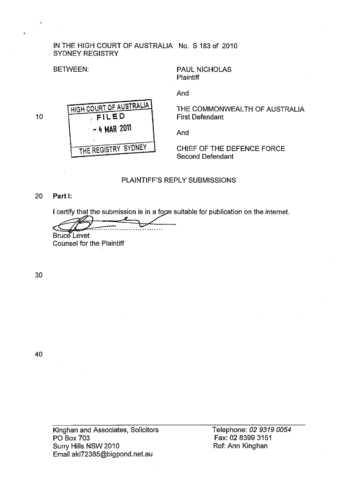#### IN THE HIGH COURT OF AUSTRALIA No. S 183 of 2010 SYDNEY REGISTRY

## BETWEEN:

PAUL NICHOLAS **Plaintiff** 

10



And

THE COMMONWEALTH OF AUSTRALIA First Defendant

And

CHIEF OF THE DEFENCE FORCE Second Defendant

# PLAINTIFF'S REPLY SUBMISSIONS

#### 20 Part I:

I certify that the submission is in a form suitable for publication on the internet.

Bruce Levet Counsel for the Plaintiff

30

40

Telephone: 02 9319 0054 Fax: 02 8399 3151 Ref: Ann Kinghan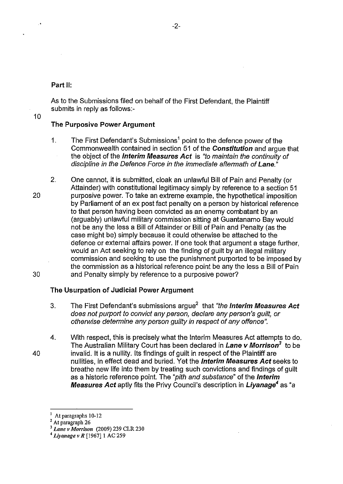#### Part II:

As to the Submissions filed on behalf of the First Defendant, the Plaintiff submits in reply as follows:-

#### 10

#### The Purposive Power Argument

- 1. The First Defendant's Submissions<sup>1</sup> point to the defence power of the Commonwealth contained in section 51 of the Constitution and argue that the object of the **Interim Measures Act** is "to maintain the continuity of discipline in the Defence Force in the immediate aftermath of Lane.<sup>"</sup>
- 20 30 2. One cannot, it is submitted, cloak an unlawful Bill of Pain and Penalty (or Attainder) with constitutional legitimacy simply by reference to a section 51 purposive power. To take an extreme example, the hypothetical imposition by Parliament of an ex post fact penalty on a person by historical reference to that person having been convicted as an enemy combatant by an (arguably) unlawful military commission sitting at Guantanamo Bay would not be any the less a Bill of Attainder or Bill of Pain and Penalty (as the case might be) simply because it could otherwise be attached to the defence or external affairs power. If one took that argument a stage further, would an Act seeking to rely on the finding of guilt by an illegal military commission and seeking to use the punishment purported to be imposed by the commission as a historical reference point be any the less a Bill of Pain and Penalty simply by reference to a purposive power?

#### The Usurpation of Judicial Power Argument

- 3. The First Defendant's submissions argue<sup>2</sup> that "the **Interim Measures Act** does not purport to convict any person, declare any person's guilt, or otherwise determine any person guilty in respect of any offence".
- 40 4. With respect, this is precisely what the Interim Measures Act attempts to do. The Australian Military Court has been declared in Lane v Morrison*3* to be invalid. It is a nullity. Its findings of guilt in respect of the Plaintiff are nullities, in effect dead and buried. Yet the *Interim Measures Act* seeks to breathe new life into them by treating such convictions and findings of guilt as a historic reference point. The "pith and substance" of the Interim Measures Act aptly fits the Privy Council's description in Liyanage*4* as "a

<sup>1</sup>At paragraphs 10-12

<sup>&</sup>lt;sup>2</sup> At paragraph 26

*<sup>3</sup> Lane v Morrison* (2009) 239 CLR 230

*<sup>4</sup> Liyanage v R* [1967]1 AC 259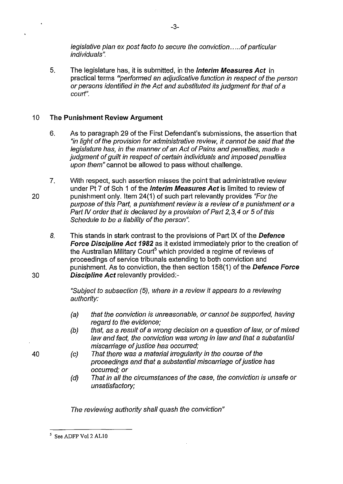legislative plan ex post facto to secure the conviction ..... of particular individuals".

5. The legislature has, it is submitted, in the **Interim Measures Act** in practical terms "performed an adjudicative function in respect of the person or persons identified in the Act and substituted its judgment for that of a court".

## 10 **The Punishment Review Argument**

- 6. As to paragraph 29 of the First Defendant's submissions, the assertion that "in light of the provision for administrative review, it cannot be said that the legislature has, in the manner of an Act of Pains and penalties, made a judgment of quilt in respect of certain individuals and imposed penalties upon them" cannot be allowed to pass without challenge.
- 7. With respect, such assertion misses the point that administrative review under Pt 7 of Sch 1 of the **Interim Measures Act** is limited to review of punishment only. Item 24(1) of such part relevantly provides "For the purpose of this Part, a punishment review is a review of a punishment or a Part IV order that is declared by a provision of Part 2,3,4 or 5 of this Schedule to be a liability of the person".
	- 8. This stands in stark contrast to the provisions of Part IX of the **Defence Force Discipline Act 1982** as it existed immediately prior to the creation of the Australian Military Court<sup>5</sup> which provided a regime of reviews of proceedings of service tribunals extending to both conviction and punishment. As to conviction, the then section 158(1) of the **Defence Force Discipline Act** relevantly provided:-

"Subject to subsection (5), where in a review it appears to a reviewing authority:

- (a) that the conviction is unreasonable, or cannot be supported, having regard to the evidence;
- (b) that, as a result of a wrong decision on a question of law, or of mixed law and fact, the conviction was wrong in law and that a substantial miscarriage of justice has occurred;
- (c) That there was a material irregularity in the course of the proceedings and that a substantial miscarriage of justice has occurred; or
- (d) That in all the circumstances of the case, the conviction is unsafe or unsatisfactory;

The reviewing authority shall quash the conviction"

20

30

40

<sup>5</sup> See ADFP Vol2 ALlO